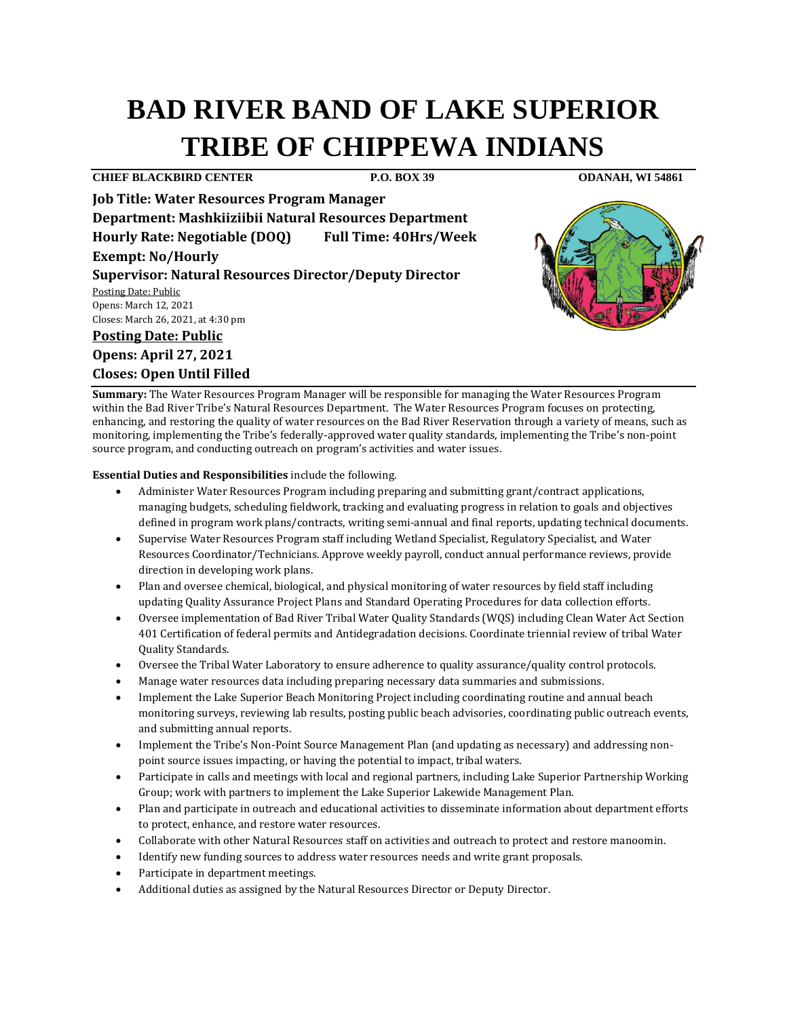# **BAD RIVER BAND OF LAKE SUPERIOR TRIBE OF CHIPPEWA INDIANS**

### **CHIEF BLACKBIRD CENTER P.O. BOX 39 ODANAH, WI 54861**

**Job Title: Water Resources Program Manager Department: Mashkiiziibii Natural Resources Department Hourly Rate: Negotiable (DOQ) Full Time: 40Hrs/Week Exempt: No/Hourly Supervisor: Natural Resources Director/Deputy Director** 

Posting Date: Public Opens: March 12, 2021 Closes: March 26, 2021, at 4:30 pm

## **Posting Date: Public**

**Opens: April 27, 2021 Closes: Open Until Filled**



**Summary:** The Water Resources Program Manager will be responsible for managing the Water Resources Program within the Bad River Tribe's Natural Resources Department. The Water Resources Program focuses on protecting, enhancing, and restoring the quality of water resources on the Bad River Reservation through a variety of means, such as monitoring, implementing the Tribe's federally-approved water quality standards, implementing the Tribe's non-point source program, and conducting outreach on program's activities and water issues.

**Essential Duties and Responsibilities** include the following.

- Administer Water Resources Program including preparing and submitting grant/contract applications, managing budgets, scheduling fieldwork, tracking and evaluating progress in relation to goals and objectives defined in program work plans/contracts, writing semi-annual and final reports, updating technical documents.
- Supervise Water Resources Program staff including Wetland Specialist, Regulatory Specialist, and Water Resources Coordinator/Technicians. Approve weekly payroll, conduct annual performance reviews, provide direction in developing work plans.
- Plan and oversee chemical, biological, and physical monitoring of water resources by field staff including updating Quality Assurance Project Plans and Standard Operating Procedures for data collection efforts.
- Oversee implementation of Bad River Tribal Water Quality Standards (WQS) including Clean Water Act Section 401 Certification of federal permits and Antidegradation decisions. Coordinate triennial review of tribal Water Quality Standards.
- Oversee the Tribal Water Laboratory to ensure adherence to quality assurance/quality control protocols.
- Manage water resources data including preparing necessary data summaries and submissions.
- Implement the Lake Superior Beach Monitoring Project including coordinating routine and annual beach monitoring surveys, reviewing lab results, posting public beach advisories, coordinating public outreach events, and submitting annual reports.
- Implement the Tribe's Non-Point Source Management Plan (and updating as necessary) and addressing nonpoint source issues impacting, or having the potential to impact, tribal waters.
- Participate in calls and meetings with local and regional partners, including Lake Superior Partnership Working Group; work with partners to implement the Lake Superior Lakewide Management Plan.
- Plan and participate in outreach and educational activities to disseminate information about department efforts to protect, enhance, and restore water resources.
- Collaborate with other Natural Resources staff on activities and outreach to protect and restore manoomin.
- Identify new funding sources to address water resources needs and write grant proposals.
- Participate in department meetings.
- Additional duties as assigned by the Natural Resources Director or Deputy Director.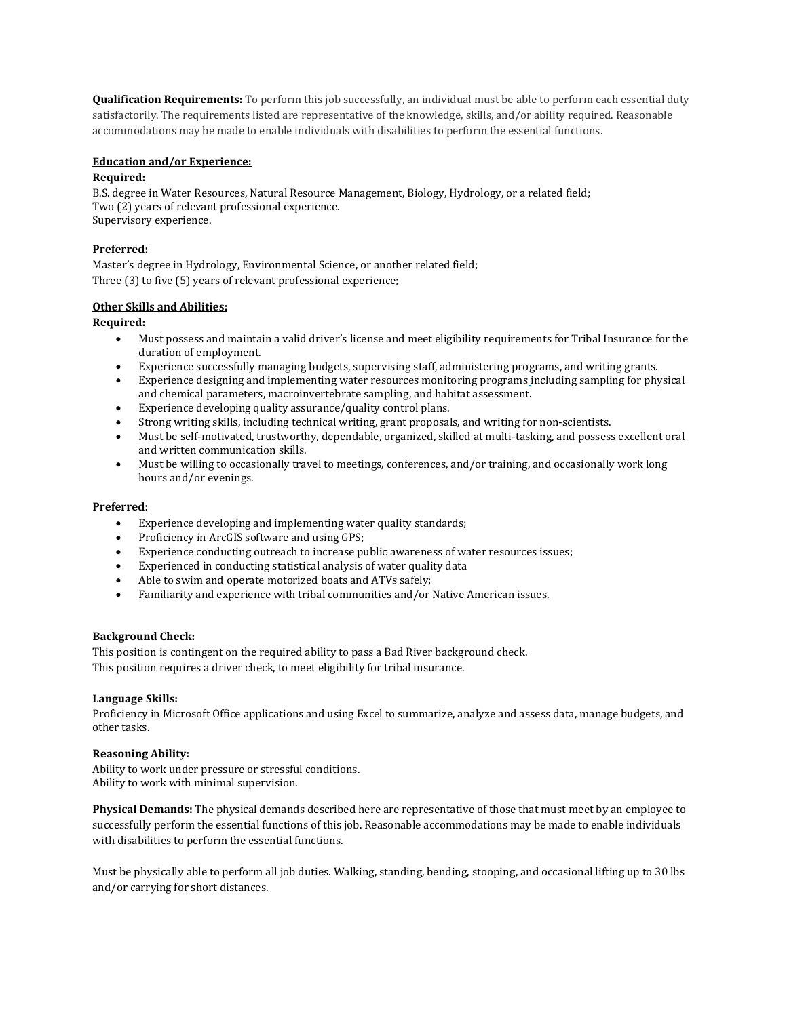**Qualification Requirements:** To perform this job successfully, an individual must be able to perform each essential duty satisfactorily. The requirements listed are representative of the knowledge, skills, and/or ability required. Reasonable accommodations may be made to enable individuals with disabilities to perform the essential functions.

#### **Education and/or Experience:**

#### **Required:**

B.S. degree in Water Resources, Natural Resource Management, Biology, Hydrology, or a related field; Two (2) years of relevant professional experience. Supervisory experience.

#### **Preferred:**

Master's degree in Hydrology, Environmental Science, or another related field; Three (3) to five (5) years of relevant professional experience;

#### **Other Skills and Abilities:**

**Required:**

- Must possess and maintain a valid driver's license and meet eligibility requirements for Tribal Insurance for the duration of employment.
- Experience successfully managing budgets, supervising staff, administering programs, and writing grants.
- Experience designing and implementing water resources monitoring programs including sampling for physical and chemical parameters, macroinvertebrate sampling, and habitat assessment.
- Experience developing quality assurance/quality control plans.
- Strong writing skills, including technical writing, grant proposals, and writing for non-scientists.
- Must be self-motivated, trustworthy, dependable, organized, skilled at multi-tasking, and possess excellent oral and written communication skills.
- Must be willing to occasionally travel to meetings, conferences, and/or training, and occasionally work long hours and/or evenings.

#### **Preferred:**

- Experience developing and implementing water quality standards;
- Proficiency in ArcGIS software and using GPS;
- Experience conducting outreach to increase public awareness of water resources issues;
- Experienced in conducting statistical analysis of water quality data
- Able to swim and operate motorized boats and ATVs safely;
- Familiarity and experience with tribal communities and/or Native American issues.

#### **Background Check:**

This position is contingent on the required ability to pass a Bad River background check. This position requires a driver check, to meet eligibility for tribal insurance.

#### **Language Skills:**

Proficiency in Microsoft Office applications and using Excel to summarize, analyze and assess data, manage budgets, and other tasks.

#### **Reasoning Ability:**

Ability to work under pressure or stressful conditions. Ability to work with minimal supervision.

**Physical Demands:** The physical demands described here are representative of those that must meet by an employee to successfully perform the essential functions of this job. Reasonable accommodations may be made to enable individuals with disabilities to perform the essential functions.

Must be physically able to perform all job duties. Walking, standing, bending, stooping, and occasional lifting up to 30 lbs and/or carrying for short distances.